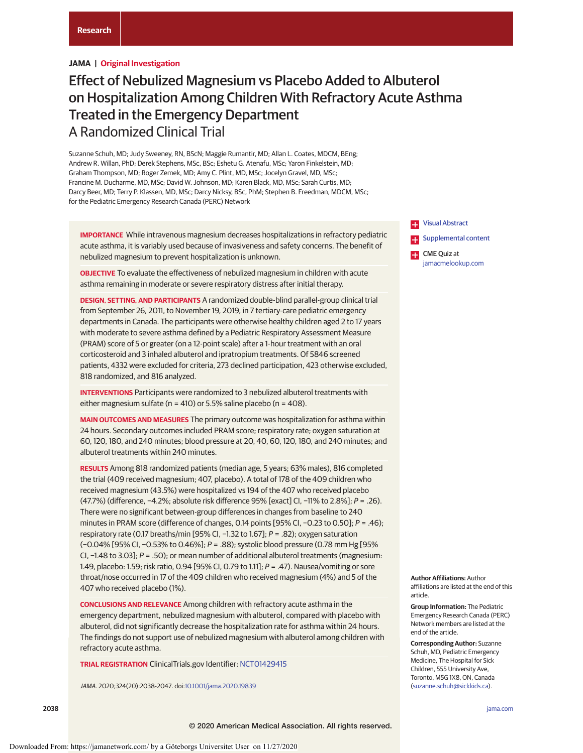# **JAMA | Original Investigation**

# Effect of Nebulized Magnesium vs Placebo Added to Albuterol on Hospitalization Among Children With Refractory Acute Asthma Treated in the Emergency Department A Randomized Clinical Trial

Suzanne Schuh, MD; Judy Sweeney, RN, BScN; Maggie Rumantir, MD; Allan L. Coates, MDCM, BEng; Andrew R. Willan, PhD; Derek Stephens, MSc, BSc; Eshetu G. Atenafu, MSc; Yaron Finkelstein, MD; Graham Thompson, MD; Roger Zemek, MD; Amy C. Plint, MD, MSc; Jocelyn Gravel, MD, MSc; Francine M. Ducharme, MD, MSc; David W. Johnson, MD; Karen Black, MD, MSc; Sarah Curtis, MD; Darcy Beer, MD; Terry P. Klassen, MD, MSc; Darcy Nicksy, BSc, PhM; Stephen B. Freedman, MDCM, MSc; for the Pediatric Emergency Research Canada (PERC) Network

**IMPORTANCE** While intravenous magnesium decreases hospitalizations in refractory pediatric acute asthma, it is variably used because of invasiveness and safety concerns. The benefit of nebulized magnesium to prevent hospitalization is unknown.

**OBJECTIVE** To evaluate the effectiveness of nebulized magnesium in children with acute asthma remaining in moderate or severe respiratory distress after initial therapy.

**DESIGN, SETTING, AND PARTICIPANTS** A randomized double-blind parallel-group clinical trial from September 26, 2011, to November 19, 2019, in 7 tertiary-care pediatric emergency departments in Canada. The participants were otherwise healthy children aged 2 to 17 years with moderate to severe asthma defined by a Pediatric Respiratory Assessment Measure (PRAM) score of 5 or greater (on a 12-point scale) after a 1-hour treatment with an oral corticosteroid and 3 inhaled albuterol and ipratropium treatments. Of 5846 screened patients, 4332 were excluded for criteria, 273 declined participation, 423 otherwise excluded, 818 randomized, and 816 analyzed.

**INTERVENTIONS** Participants were randomized to 3 nebulized albuterol treatments with either magnesium sulfate ( $n = 410$ ) or 5.5% saline placebo ( $n = 408$ ).

**MAIN OUTCOMES AND MEASURES** The primary outcome was hospitalization for asthma within 24 hours. Secondary outcomes included PRAM score; respiratory rate; oxygen saturation at 60, 120, 180, and 240 minutes; blood pressure at 20, 40, 60, 120, 180, and 240 minutes; and albuterol treatments within 240 minutes.

**RESULTS** Among 818 randomized patients (median age, 5 years; 63% males), 816 completed the trial (409 received magnesium; 407, placebo). A total of 178 of the 409 children who received magnesium (43.5%) were hospitalized vs 194 of the 407 who received placebo (47.7%) (difference, −4.2%; absolute risk difference 95% [exact] CI, −11% to 2.8%]; P = .26). There were no significant between-group differences in changes from baseline to 240 minutes in PRAM score (difference of changes, 0.14 points [95% CI, −0.23 to 0.50]; P = .46); respiratory rate (0.17 breaths/min [95% CI, −1.32 to 1.67]; P = .82); oxygen saturation (−0.04% [95% CI, −0.53% to 0.46%]; P = .88); systolic blood pressure (0.78 mm Hg [95% CI, −1.48 to 3.03]; P = .50); or mean number of additional albuterol treatments (magnesium: 1.49, placebo: 1.59; risk ratio, 0.94 [95% CI, 0.79 to 1.11]; P = .47). Nausea/vomiting or sore throat/nose occurred in 17 of the 409 children who received magnesium (4%) and 5 of the 407 who received placebo (1%).

**CONCLUSIONS AND RELEVANCE** Among children with refractory acute asthma in the emergency department, nebulized magnesium with albuterol, compared with placebo with albuterol, did not significantly decrease the hospitalization rate for asthma within 24 hours. The findings do not support use of nebulized magnesium with albuterol among children with refractory acute asthma.

**TRIAL REGISTRATION** ClinicalTrials.gov Identifier: [NCT01429415](https://clinicaltrials.gov/ct2/show/NCT01429415)

JAMA. 2020;324(20):2038-2047. doi[:10.1001/jama.2020.19839](https://jamanetwork.com/journals/jama/fullarticle/10.1001/jama.2020.19839?utm_campaign=articlePDF%26utm_medium=articlePDFlink%26utm_source=articlePDF%26utm_content=jama.2020.19839)



**Author Affiliations:** Author affiliations are listed at the end of this article.

**Group Information:** The Pediatric Emergency Research Canada (PERC) Network members are listed at the end of the article.

**Corresponding Author:** Suzanne Schuh, MD, Pediatric Emergency Medicine, The Hospital for Sick Children, 555 University Ave, Toronto, M5G 1X8, ON, Canada [\(suzanne.schuh@sickkids.ca\)](mailto:suzanne.schuh@sickkids.ca).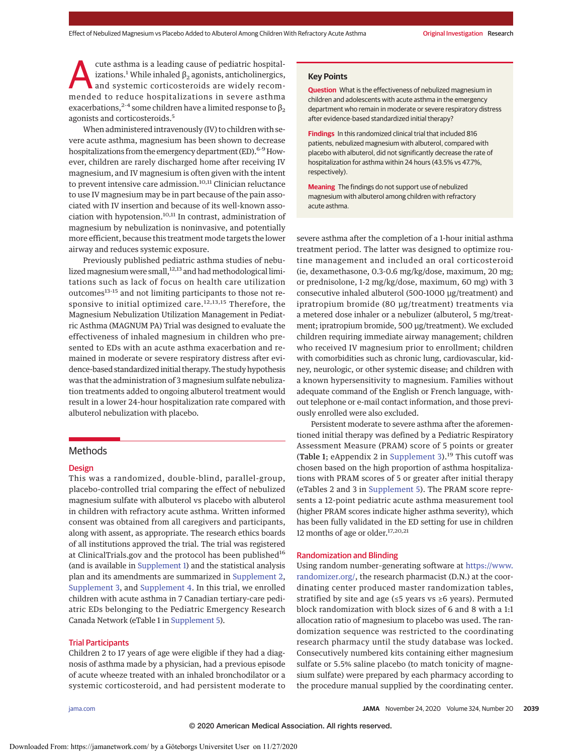cute asthma is a leading cause of pediatric hospitalizations.<sup>1</sup> While inhaled  $β_2$  agonists, anticholinergics, and systemic corticosteroids are widely recommended to reduce hospitalizations in severe asthma exacerbations,<sup>2-4</sup> some children have a limited response to  $\beta_2$ agonists and corticosteroids.<sup>5</sup>

When administered intravenously (IV) to children with severe acute asthma, magnesium has been shown to decrease hospitalizations from the emergency department (ED).<sup>6-9</sup> However, children are rarely discharged home after receiving IV magnesium, and IV magnesium is often given with the intent to prevent intensive care admission.  $\mathbf{^{10,11}}$  Clinician reluctance to use IV magnesium may be in part because of the pain associated with IV insertion and because of its well-known association with hypotension.<sup>10,11</sup> In contrast, administration of magnesium by nebulization is noninvasive, and potentially more efficient, because this treatment mode targets the lower airway and reduces systemic exposure.

Previously published pediatric asthma studies of nebulized magnesium were small,<sup>12,13</sup> and had methodological limitations such as lack of focus on health care utilization outcomes<sup>13-15</sup> and not limiting participants to those not responsive to initial optimized care.<sup>12,13,15</sup> Therefore, the Magnesium Nebulization Utilization Management in Pediatric Asthma (MAGNUM PA) Trial was designed to evaluate the effectiveness of inhaled magnesium in children who presented to EDs with an acute asthma exacerbation and remained in moderate or severe respiratory distress after evidence-based standardized initial therapy. The study hypothesis was that the administration of 3 magnesium sulfate nebulization treatments added to ongoing albuterol treatment would result in a lower 24-hour hospitalization rate compared with albuterol nebulization with placebo.

## Methods

## **Design**

This was a randomized, double-blind, parallel-group, placebo-controlled trial comparing the effect of nebulized magnesium sulfate with albuterol vs placebo with albuterol in children with refractory acute asthma. Written informed consent was obtained from all caregivers and participants, along with assent, as appropriate. The research ethics boards of all institutions approved the trial. The trial was registered at ClinicalTrials.gov and the protocol has been published<sup>16</sup> (and is available in [Supplement 1\)](https://jamanetwork.com/journals/jama/fullarticle/10.1001/jama.2020.19839?utm_campaign=articlePDF%26utm_medium=articlePDFlink%26utm_source=articlePDF%26utm_content=jama.2020.19839) and the statistical analysis plan and its amendments are summarized in [Supplement 2,](https://jamanetwork.com/journals/jama/fullarticle/10.1001/jama.2020.19839?utm_campaign=articlePDF%26utm_medium=articlePDFlink%26utm_source=articlePDF%26utm_content=jama.2020.19839) [Supplement 3,](https://jamanetwork.com/journals/jama/fullarticle/10.1001/jama.2020.19839?utm_campaign=articlePDF%26utm_medium=articlePDFlink%26utm_source=articlePDF%26utm_content=jama.2020.19839) and [Supplement 4.](https://jamanetwork.com/journals/jama/fullarticle/10.1001/jama.2020.19839?utm_campaign=articlePDF%26utm_medium=articlePDFlink%26utm_source=articlePDF%26utm_content=jama.2020.19839) In this trial, we enrolled children with acute asthma in 7 Canadian tertiary-care pediatric EDs belonging to the Pediatric Emergency Research Canada Network (eTable 1 in [Supplement 5\)](https://jamanetwork.com/journals/jama/fullarticle/10.1001/jama.2020.19839?utm_campaign=articlePDF%26utm_medium=articlePDFlink%26utm_source=articlePDF%26utm_content=jama.2020.19839).

#### Trial Participants

Children 2 to 17 years of age were eligible if they had a diagnosis of asthma made by a physician, had a previous episode of acute wheeze treated with an inhaled bronchodilator or a systemic corticosteroid, and had persistent moderate to

## **Key Points**

**Question** What is the effectiveness of nebulized magnesium in children and adolescents with acute asthma in the emergency department who remain in moderate or severe respiratory distress after evidence-based standardized initial therapy?

**Findings** In this randomized clinical trial that included 816 patients, nebulized magnesium with albuterol, compared with placebo with albuterol, did not significantly decrease the rate of hospitalization for asthma within 24 hours (43.5% vs 47.7%, respectively).

**Meaning** The findings do not support use of nebulized magnesium with albuterol among children with refractory acute asthma.

severe asthma after the completion of a 1-hour initial asthma treatment period. The latter was designed to optimize routine management and included an oral corticosteroid (ie, dexamethasone, 0.3-0.6 mg/kg/dose, maximum, 20 mg; or prednisolone, 1-2 mg/kg/dose, maximum, 60 mg) with 3 consecutive inhaled albuterol (500-1000 μg/treatment) and ipratropium bromide (80 μg/treatment) treatments via a metered dose inhaler or a nebulizer (albuterol, 5 mg/treatment; ipratropium bromide, 500 μg/treatment). We excluded children requiring immediate airway management; children who received IV magnesium prior to enrollment; children with comorbidities such as chronic lung, cardiovascular, kidney, neurologic, or other systemic disease; and children with a known hypersensitivity to magnesium. Families without adequate command of the English or French language, without telephone or e-mail contact information, and those previously enrolled were also excluded.

Persistent moderate to severe asthma after the aforementioned initial therapy was defined by a Pediatric Respiratory Assessment Measure (PRAM) score of 5 points or greater (Table 1; eAppendix 2 in [Supplement 3\)](https://jamanetwork.com/journals/jama/fullarticle/10.1001/jama.2020.19839?utm_campaign=articlePDF%26utm_medium=articlePDFlink%26utm_source=articlePDF%26utm_content=jama.2020.19839).<sup>19</sup> This cutoff was chosen based on the high proportion of asthma hospitalizations with PRAM scores of 5 or greater after initial therapy (eTables 2 and 3 in [Supplement 5\)](https://jamanetwork.com/journals/jama/fullarticle/10.1001/jama.2020.19839?utm_campaign=articlePDF%26utm_medium=articlePDFlink%26utm_source=articlePDF%26utm_content=jama.2020.19839). The PRAM score represents a 12-point pediatric acute asthma measurement tool (higher PRAM scores indicate higher asthma severity), which has been fully validated in the ED setting for use in children 12 months of age or older.17,20,21

## Randomization and Blinding

Using random number–generating software at [https://www.](https://www.randomizer.org/) [randomizer.org/,](https://www.randomizer.org/) the research pharmacist (D.N.) at the coordinating center produced master randomization tables, stratified by site and age (≤5 years vs ≥6 years). Permuted block randomization with block sizes of 6 and 8 with a 1:1 allocation ratio of magnesium to placebo was used. The randomization sequence was restricted to the coordinating research pharmacy until the study database was locked. Consecutively numbered kits containing either magnesium sulfate or 5.5% saline placebo (to match tonicity of magnesium sulfate) were prepared by each pharmacy according to the procedure manual supplied by the coordinating center.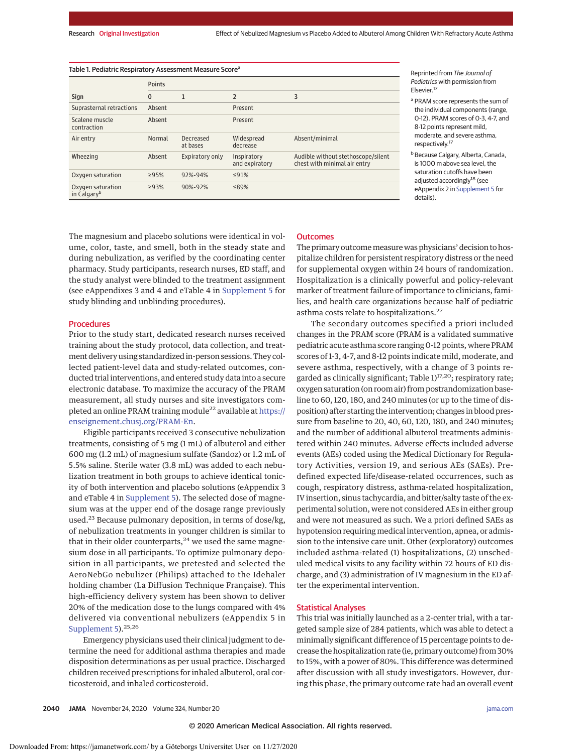| Table 1. Pediatric Respiratory Assessment Measure Score <sup>a</sup> |               |                       |                               |                                                                    |  |  |  |  |
|----------------------------------------------------------------------|---------------|-----------------------|-------------------------------|--------------------------------------------------------------------|--|--|--|--|
|                                                                      | <b>Points</b> |                       |                               |                                                                    |  |  |  |  |
| Sign                                                                 | $\mathbf{0}$  | 1                     | $\overline{2}$                | 3                                                                  |  |  |  |  |
| Suprasternal retractions                                             | Absent        |                       | Present                       |                                                                    |  |  |  |  |
| Scalene muscle<br>contraction                                        | Absent        |                       | Present                       |                                                                    |  |  |  |  |
| Air entry                                                            | Normal        | Decreased<br>at bases | Widespread<br>decrease        | Absent/minimal                                                     |  |  |  |  |
| Wheezing                                                             | Absent        | Expiratory only       | Inspiratory<br>and expiratory | Audible without stethoscope/silent<br>chest with minimal air entry |  |  |  |  |
| Oxygen saturation                                                    | >95%          | 92%-94%               | ≤91%                          |                                                                    |  |  |  |  |
| Oxygen saturation<br>in Calgary <sup>b</sup>                         | >93%          | 90%-92%               | ≤89%                          |                                                                    |  |  |  |  |

Reprinted from The Journal of Pediatrics with permission from Elsevier.<sup>17</sup>

<sup>a</sup> PRAM score represents the sum of the individual components (range, 0-12). PRAM scores of 0-3, 4-7, and 8-12 points represent mild, moderate, and severe asthma, respectively.17

<sup>b</sup> Because Calgary, Alberta, Canada, is 1000 m above sea level, the saturation cutoffs have been adjusted accordingly<sup>18</sup> (see eAppendix 2 in [Supplement 5](https://jamanetwork.com/journals/jama/fullarticle/10.1001/jama.2020.19839?utm_campaign=articlePDF%26utm_medium=articlePDFlink%26utm_source=articlePDF%26utm_content=jama.2020.19839) for details).

The magnesium and placebo solutions were identical in volume, color, taste, and smell, both in the steady state and during nebulization, as verified by the coordinating center pharmacy. Study participants, research nurses, ED staff, and the study analyst were blinded to the treatment assignment (see eAppendixes 3 and 4 and eTable 4 in [Supplement 5](https://jamanetwork.com/journals/jama/fullarticle/10.1001/jama.2020.19839?utm_campaign=articlePDF%26utm_medium=articlePDFlink%26utm_source=articlePDF%26utm_content=jama.2020.19839) for study blinding and unblinding procedures).

## **Procedures**

Prior to the study start, dedicated research nurses received training about the study protocol, data collection, and treatment delivery using standardized in-person sessions. They collected patient-level data and study-related outcomes, conducted trial interventions, and entered study data into a secure electronic database. To maximize the accuracy of the PRAM measurement, all study nurses and site investigators completed an online PRAM training module<sup>22</sup> available at [https://](https://enseignement.chusj.org/PRAM-En) [enseignement.chusj.org/PRAM-En.](https://enseignement.chusj.org/PRAM-En)

Eligible participants received 3 consecutive nebulization treatments, consisting of 5 mg (1 mL) of albuterol and either 600 mg (1.2 mL) of magnesium sulfate (Sandoz) or 1.2 mL of 5.5% saline. Sterile water (3.8 mL) was added to each nebulization treatment in both groups to achieve identical tonicity of both intervention and placebo solutions (eAppendix 3 and eTable 4 in [Supplement 5\)](https://jamanetwork.com/journals/jama/fullarticle/10.1001/jama.2020.19839?utm_campaign=articlePDF%26utm_medium=articlePDFlink%26utm_source=articlePDF%26utm_content=jama.2020.19839). The selected dose of magnesium was at the upper end of the dosage range previously used.<sup>23</sup> Because pulmonary deposition, in terms of dose/kg, of nebulization treatments in younger children is similar to that in their older counterparts, $24$  we used the same magnesium dose in all participants. To optimize pulmonary deposition in all participants, we pretested and selected the AeroNebGo nebulizer (Philips) attached to the Idehaler holding chamber (La Diffusion Technique Française). This high-efficiency delivery system has been shown to deliver 20% of the medication dose to the lungs compared with 4% delivered via conventional nebulizers (eAppendix 5 in [Supplement 5\)](https://jamanetwork.com/journals/jama/fullarticle/10.1001/jama.2020.19839?utm_campaign=articlePDF%26utm_medium=articlePDFlink%26utm_source=articlePDF%26utm_content=jama.2020.19839).<sup>25,26</sup>

Emergency physicians used their clinical judgment to determine the need for additional asthma therapies and made disposition determinations as per usual practice. Discharged children received prescriptions for inhaled albuterol, oral corticosteroid, and inhaled corticosteroid.

#### **Outcomes**

The primary outcome measure was physicians' decision to hospitalize children for persistent respiratory distress or the need for supplemental oxygen within 24 hours of randomization. Hospitalization is a clinically powerful and policy-relevant marker of treatment failure of importance to clinicians, families, and health care organizations because half of pediatric asthma costs relate to hospitalizations.<sup>27</sup>

The secondary outcomes specified a priori included changes in the PRAM score (PRAM is a validated summative pediatric acute asthma score ranging 0-12 points, where PRAM scores of 1-3, 4-7, and 8-12 points indicate mild, moderate, and severe asthma, respectively, with a change of 3 points regarded as clinically significant; Table  $1)^{17,20}$ ; respiratory rate; oxygen saturation (on room air) from postrandomization baseline to 60, 120, 180, and 240 minutes (or up to the time of disposition) after starting the intervention; changes in blood pressure from baseline to 20, 40, 60, 120, 180, and 240 minutes; and the number of additional albuterol treatments administered within 240 minutes. Adverse effects included adverse events (AEs) coded using the Medical Dictionary for Regulatory Activities, version 19, and serious AEs (SAEs). Predefined expected life/disease-related occurrences, such as cough, respiratory distress, asthma-related hospitalization, IV insertion, sinus tachycardia, and bitter/salty taste of the experimental solution, were not considered AEs in either group and were not measured as such. We a priori defined SAEs as hypotension requiring medical intervention, apnea, or admission to the intensive care unit. Other (exploratory) outcomes included asthma-related (1) hospitalizations, (2) unscheduled medical visits to any facility within 72 hours of ED discharge, and (3) administration of IV magnesium in the ED after the experimental intervention.

## Statistical Analyses

This trial was initially launched as a 2-center trial, with a targeted sample size of 284 patients, which was able to detect a minimally significant difference of 15 percentage points to decrease the hospitalization rate (ie, primary outcome) from 30% to 15%, with a power of 80%. This difference was determined after discussion with all study investigators. However, during this phase, the primary outcome rate had an overall event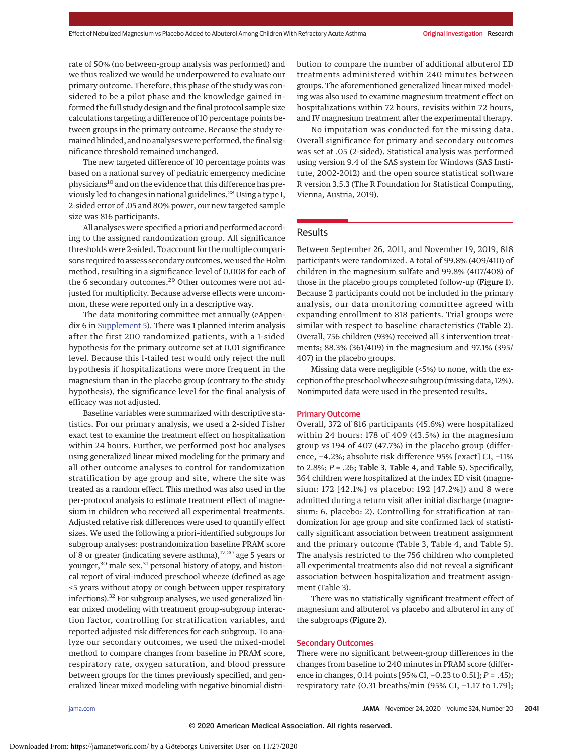rate of 50% (no between-group analysis was performed) and we thus realized we would be underpowered to evaluate our primary outcome. Therefore, this phase of the study was considered to be a pilot phase and the knowledge gained informed the full study design and the final protocol sample size calculations targeting a difference of 10 percentage points between groups in the primary outcome. Because the study remained blinded, and no analyses were performed, the final significance threshold remained unchanged.

The new targeted difference of 10 percentage points was based on a national survey of pediatric emergency medicine physicians<sup>10</sup> and on the evidence that this difference has previously led to changes in national guidelines.<sup>28</sup> Using a type I, 2-sided error of .05 and 80% power, our new targeted sample size was 816 participants.

All analyses were specified a priori and performed according to the assigned randomization group. All significance thresholds were 2-sided. To account for the multiple comparisons required to assess secondary outcomes, we used the Holm method, resulting in a significance level of 0.008 for each of the 6 secondary outcomes.<sup>29</sup> Other outcomes were not adjusted for multiplicity. Because adverse effects were uncommon, these were reported only in a descriptive way.

The data monitoring committee met annually (eAppendix 6 in [Supplement 5\)](https://jamanetwork.com/journals/jama/fullarticle/10.1001/jama.2020.19839?utm_campaign=articlePDF%26utm_medium=articlePDFlink%26utm_source=articlePDF%26utm_content=jama.2020.19839). There was 1 planned interim analysis after the first 200 randomized patients, with a 1-sided hypothesis for the primary outcome set at 0.01 significance level. Because this 1-tailed test would only reject the null hypothesis if hospitalizations were more frequent in the magnesium than in the placebo group (contrary to the study hypothesis), the significance level for the final analysis of efficacy was not adjusted.

Baseline variables were summarized with descriptive statistics. For our primary analysis, we used a 2-sided Fisher exact test to examine the treatment effect on hospitalization within 24 hours. Further, we performed post hoc analyses using generalized linear mixed modeling for the primary and all other outcome analyses to control for randomization stratification by age group and site, where the site was treated as a random effect. This method was also used in the per-protocol analysis to estimate treatment effect of magnesium in children who received all experimental treatments. Adjusted relative risk differences were used to quantify effect sizes. We used the following a priori–identified subgroups for subgroup analyses: postrandomization baseline PRAM score of 8 or greater (indicating severe asthma),<sup>17,20</sup> age 5 years or younger,<sup>30</sup> male sex,<sup>31</sup> personal history of atopy, and historical report of viral-induced preschool wheeze (defined as age ≤5 years without atopy or cough between upper respiratory infections).<sup>32</sup> For subgroup analyses, we used generalized linear mixed modeling with treatment group-subgroup interaction factor, controlling for stratification variables, and reported adjusted risk differences for each subgroup. To analyze our secondary outcomes, we used the mixed-model method to compare changes from baseline in PRAM score, respiratory rate, oxygen saturation, and blood pressure between groups for the times previously specified, and generalized linear mixed modeling with negative binomial distribution to compare the number of additional albuterol ED treatments administered within 240 minutes between groups. The aforementioned generalized linear mixed modeling was also used to examine magnesium treatment effect on hospitalizations within 72 hours, revisits within 72 hours, and IV magnesium treatment after the experimental therapy.

No imputation was conducted for the missing data. Overall significance for primary and secondary outcomes was set at .05 (2-sided). Statistical analysis was performed using version 9.4 of the SAS system for Windows (SAS Institute, 2002-2012) and the open source statistical software R version 3.5.3 (The R Foundation for Statistical Computing, Vienna, Austria, 2019).

# Results

Between September 26, 2011, and November 19, 2019, 818 participants were randomized. A total of 99.8% (409/410) of children in the magnesium sulfate and 99.8% (407/408) of those in the placebo groups completed follow-up (Figure 1). Because 2 participants could not be included in the primary analysis, our data monitoring committee agreed with expanding enrollment to 818 patients. Trial groups were similar with respect to baseline characteristics (Table 2). Overall, 756 children (93%) received all 3 intervention treatments; 88.3% (361/409) in the magnesium and 97.1% (395/ 407) in the placebo groups.

Missing data were negligible (<5%) to none, with the exception of the preschool wheeze subgroup (missing data, 12%). Nonimputed data were used in the presented results.

## Primary Outcome

Overall, 372 of 816 participants (45.6%) were hospitalized within 24 hours: 178 of 409 (43.5%) in the magnesium group vs 194 of 407 (47.7%) in the placebo group (difference, −4.2%; absolute risk difference 95% [exact] CI, −11% to 2.8%; *P* = .26; Table 3, Table 4, and Table 5). Specifically, 364 children were hospitalized at the index ED visit (magnesium: 172 [42.1%] vs placebo: 192 [47.2%]) and 8 were admitted during a return visit after initial discharge (magnesium: 6, placebo: 2). Controlling for stratification at randomization for age group and site confirmed lack of statistically significant association between treatment assignment and the primary outcome (Table 3, Table 4, and Table 5). The analysis restricted to the 756 children who completed all experimental treatments also did not reveal a significant association between hospitalization and treatment assignment (Table 3).

There was no statistically significant treatment effect of magnesium and albuterol vs placebo and albuterol in any of the subgroups (Figure 2).

## Secondary Outcomes

There were no significant between-group differences in the changes from baseline to 240 minutes in PRAM score (difference in changes, 0.14 points [95% CI, −0.23 to 0.51]; *P* = .45); respiratory rate (0.31 breaths/min (95% CI, −1.17 to 1.79];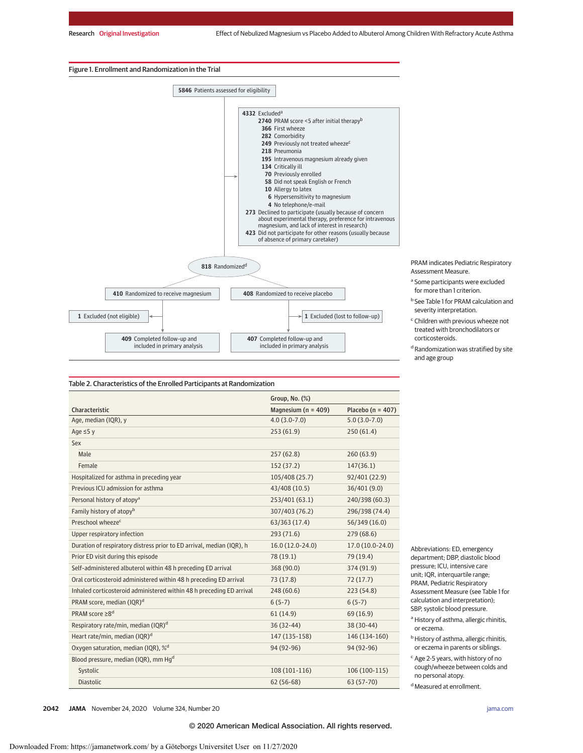#### Figure 1. Enrollment and Randomization in the Trial



PRAM indicates Pediatric Respiratory Assessment Measure.

- <sup>a</sup> Some participants were excluded for more than 1 criterion.
- <sup>b</sup> See Table 1 for PRAM calculation and severity interpretation.
- <sup>c</sup> Children with previous wheeze not treated with bronchodilators or corticosteroids.
- <sup>d</sup> Randomization was stratified by site and age group

|                                                                       | Group, No. (%)          |                       |
|-----------------------------------------------------------------------|-------------------------|-----------------------|
| Characteristic                                                        | Magnesium ( $n = 409$ ) | Placebo ( $n = 407$ ) |
| Age, median (IQR), y                                                  | $4.0(3.0-7.0)$          | $5.0(3.0-7.0)$        |
| Age $\leq$ 5 y                                                        | 253(61.9)               | 250(61.4)             |
| Sex                                                                   |                         |                       |
| Male                                                                  | 257(62.8)               | 260(63.9)             |
| Female                                                                | 152 (37.2)              | 147(36.1)             |
| Hospitalized for asthma in preceding year                             | 105/408 (25.7)          | 92/401 (22.9)         |
| Previous ICU admission for asthma                                     | 43/408 (10.5)           | 36/401 (9.0)          |
| Personal history of atopy <sup>a</sup>                                | 253/401 (63.1)          | 240/398 (60.3)        |
| Family history of atopy <sup>b</sup>                                  | 307/403 (76.2)          | 296/398 (74.4)        |
| Preschool wheeze <sup>c</sup>                                         | 63/363 (17.4)           | 56/349 (16.0)         |
| Upper respiratory infection                                           | 293 (71.6)              | 279(68.6)             |
| Duration of respiratory distress prior to ED arrival, median (IQR), h | 16.0 (12.0-24.0)        | 17.0 (10.0-24.0)      |
| Prior ED visit during this episode                                    | 78 (19.1)               | 79 (19.4)             |
| Self-administered albuterol within 48 h preceding ED arrival          | 368 (90.0)              | 374 (91.9)            |
| Oral corticosteroid administered within 48 h preceding ED arrival     | 73 (17.8)               | 72(17.7)              |
| Inhaled corticosteroid administered within 48 h preceding ED arrival  | 248 (60.6)              | 223 (54.8)            |
| PRAM score, median (IQR) <sup>d</sup>                                 | $6(5-7)$                | $6(5-7)$              |
| PRAM score ≥8 <sup>d</sup>                                            | 61(14.9)                | 69 (16.9)             |
| Respiratory rate/min, median (IQR) <sup>d</sup>                       | $36(32-44)$             | 38 (30-44)            |
| Heart rate/min, median (IQR) <sup>d</sup>                             | 147 (135-158)           | 146 (134-160)         |
| Oxygen saturation, median (IQR), % <sup>d</sup>                       | 94 (92-96)              | 94 (92-96)            |
| Blood pressure, median (IQR), mm Hg <sup>d</sup>                      |                         |                       |
| Systolic                                                              | 108 (101-116)           | 106 (100-115)         |
| <b>Diastolic</b>                                                      | $62(56-68)$             | 63 (57-70)            |

Abbreviations: ED, emergency department; DBP, diastolic blood pressure; ICU, intensive care unit; IQR, interquartile range; PRAM, Pediatric Respiratory Assessment Measure (see Table 1 for calculation and interpretation); SBP, systolic blood pressure.

<sup>a</sup> History of asthma, allergic rhinitis, or eczema.

<sup>b</sup> History of asthma, allergic rhinitis, or eczema in parents or siblings.

<sup>c</sup> Age 2-5 years, with history of no cough/wheeze between colds and no personal atopy.

<sup>d</sup> Measured at enrollment.

**2042 JAMA** November 24, 2020 Volume 324, Number 20 **(Reprinted)** [jama.com](http://www.jama.com?utm_campaign=articlePDF%26utm_medium=articlePDFlink%26utm_source=articlePDF%26utm_content=jama.2020.19839)

© 2020 American Medical Association. All rights reserved.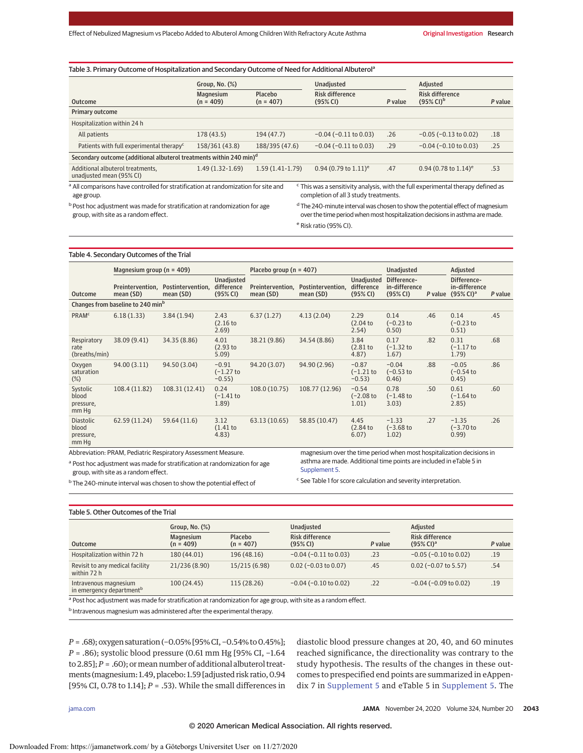| Table 3. Primary Outcome of Hospitalization and Secondary Outcome of Need for Additional Albuterol <sup>a</sup> |                          |                        |                                                                                             |         |                                                          |         |  |
|-----------------------------------------------------------------------------------------------------------------|--------------------------|------------------------|---------------------------------------------------------------------------------------------|---------|----------------------------------------------------------|---------|--|
|                                                                                                                 | Group, No. (%)           |                        | Unadjusted                                                                                  |         | Adjusted                                                 |         |  |
| Outcome                                                                                                         | Magnesium<br>$(n = 409)$ | Placebo<br>$(n = 407)$ | <b>Risk difference</b><br>(95% CI)                                                          | P value | <b>Risk difference</b><br>$(95\% \text{ Cl})^{\text{b}}$ | P value |  |
| Primary outcome                                                                                                 |                          |                        |                                                                                             |         |                                                          |         |  |
| Hospitalization within 24 h                                                                                     |                          |                        |                                                                                             |         |                                                          |         |  |
| All patients                                                                                                    | 178 (43.5)               | 194 (47.7)             | $-0.04$ ( $-0.11$ to 0.03)                                                                  | .26     | $-0.05$ ( $-0.13$ to 0.02)                               | .18     |  |
| Patients with full experimental therapy <sup>c</sup>                                                            | 158/361 (43.8)           | 188/395 (47.6)         | $-0.04$ ( $-0.11$ to 0.03)                                                                  | .29     | $-0.04$ ( $-0.10$ to 0.03)                               | .25     |  |
| Secondary outcome (additional albuterol treatments within 240 min) <sup>d</sup>                                 |                          |                        |                                                                                             |         |                                                          |         |  |
| Additional albuterol treatments,<br>unadjusted mean (95% CI)                                                    | $1.49(1.32-1.69)$        | $1.59(1.41-1.79)$      | 0.94 (0.79 to $1.11$ ) <sup>e</sup>                                                         | .47     | 0.94 (0.78 to $1.14$ ) <sup>e</sup>                      | .53     |  |
| <sup>a</sup> All comparisons have controlled for stratification at randomization for site and                   |                          |                        | <sup>c</sup> This was a sensitivity analysis, with the full experimental therapy defined as |         |                                                          |         |  |
| age group.                                                                                                      |                          |                        | completion of all 3 study treatments.                                                       |         |                                                          |         |  |

b Post hoc adjustment was made for stratification at randomization for age group, with site as a random effect.

completion of all 3 study treatments.

<sup>d</sup> The 240-minute interval was chosen to show the potential effect of magnesium over the time period when most hospitalization decisions in asthma are made. <sup>e</sup> Risk ratio (95% CI).

#### Table 4. Secondary Outcomes of the Trial

|                                                 | Magnesium group ( $n = 409$ )                 |                                |                                      | Placebo group ( $n = 407$ )   |                                |                                        | Unadjusted                               |         |                                                         |         |
|-------------------------------------------------|-----------------------------------------------|--------------------------------|--------------------------------------|-------------------------------|--------------------------------|----------------------------------------|------------------------------------------|---------|---------------------------------------------------------|---------|
| <b>Outcome</b>                                  | Preintervention.<br>mean (SD)                 | Postintervention,<br>mean (SD) | Unadjusted<br>difference<br>(95% CI) | Preintervention,<br>mean (SD) | Postintervention,<br>mean (SD) | Unadjusted<br>difference<br>(95% CI)   | Difference-<br>in-difference<br>(95% CI) | P value | Difference-<br>in-difference<br>$(95%$ CI) <sup>a</sup> | P value |
|                                                 | Changes from baseline to 240 min <sup>b</sup> |                                |                                      |                               |                                |                                        |                                          |         |                                                         |         |
| <b>PRAM<sup>c</sup></b>                         | 6.18(1.33)                                    | 3.84(1.94)                     | 2.43<br>(2.16 <sub>to</sub><br>2.69) | 6.37(1.27)                    | 4.13(2.04)                     | 2.29<br>(2.04 <sub>to</sub> )<br>2.54) | 0.14<br>$(-0.23)$<br>0.50)               | .46     | 0.14<br>$(-0.23)$<br>0.51)                              | .45     |
| Respiratory<br>rate<br>(breaths/min)            | 38.09 (9.41)                                  | 34.35 (8.86)                   | 4.01<br>(2.93)<br>5.09)              | 38.21 (9.86)                  | 34.54 (8.86)                   | 3.84<br>$(2.81$ to<br>4.87             | 0.17<br>$(-1.32)$ to<br>1.67)            | .82     | 0.31<br>$(-1.17)$ to<br>1.79)                           | .68     |
| Oxygen<br>saturation<br>$(\%)$                  | 94.00 (3.11)                                  | 94.50 (3.04)                   | $-0.91$<br>$(-1.27)$ to<br>$-0.55$ ) | 94.20 (3.07)                  | 94.90 (2.96)                   | $-0.87$<br>$(-1.21)$<br>$-0.53$ )      | $-0.04$<br>$(-0.53)$ to<br>0.46)         | .88     | $-0.05$<br>$(-0.54)$<br>0.45)                           | .86     |
| Systolic<br>blood<br>pressure,<br>mm Hq         | 108.4 (11.82)                                 | 108.31 (12.41)                 | 0.24<br>$(-1.41)$<br>1.89)           | 108.0 (10.75)                 | 108.77 (12.96)                 | $-0.54$<br>$(-2.08)$ to<br>1.01)       | 0.78<br>$(-1.48)$<br>3.03)               | .50     | 0.61<br>$(-1.64)$<br>2.85)                              | .60     |
| <b>Diastolic</b><br>blood<br>pressure,<br>mm Hq | 62.59 (11.24)                                 | 59.64 (11.6)                   | 3.12<br>(1.41)<br>4.83)              | 63.13 (10.65)                 | 58.85 (10.47)                  | 4.45<br>(2.84t)<br>6.07)               | $-1.33$<br>$(-3.68)$ to<br>1.02)         | .27     | $-1.35$<br>$(-3.70)$ to<br>0.99)                        | .26     |

Abbreviation: PRAM, Pediatric Respiratory Assessment Measure.

<sup>a</sup> Post hoc adjustment was made for stratification at randomization for age group, with site as a random effect.

asthma are made. Additional time points are included in eTable 5 in [Supplement 5.](https://jamanetwork.com/journals/jama/fullarticle/10.1001/jama.2020.19839?utm_campaign=articlePDF%26utm_medium=articlePDFlink%26utm_source=articlePDF%26utm_content=jama.2020.19839)

<sup>b</sup> The 240-minute interval was chosen to show the potential effect of

<sup>c</sup> See Table 1 for score calculation and severity interpretation.

magnesium over the time period when most hospitalization decisions in

#### Table 5. Other Outcomes of the Trial

|                                                               | Group, No. $(\%)$               |                        | Unadjusted                         |         | Adjusted                                           |         |  |
|---------------------------------------------------------------|---------------------------------|------------------------|------------------------------------|---------|----------------------------------------------------|---------|--|
| <b>Outcome</b>                                                | <b>Magnesium</b><br>$(n = 409)$ | Placebo<br>$(n = 407)$ | <b>Risk difference</b><br>(95% CI) | P value | <b>Risk difference</b><br>$(95\%$ CI) <sup>a</sup> | P value |  |
| Hospitalization within 72 h                                   | 180 (44.01)                     | 196 (48.16)            | $-0.04$ ( $-0.11$ to 0.03)         | .23     | $-0.05$ ( $-0.10$ to 0.02)                         | .19     |  |
| Revisit to any medical facility<br>within 72 h                | 21/236 (8.90)                   | 15/215 (6.98)          | $0.02$ (-0.03 to 0.07)             | .45     | $0.02$ (-0.07 to 5.57)                             | .54     |  |
| Intravenous magnesium<br>in emergency department <sup>b</sup> | 100(24.45)                      | 115 (28.26)            | $-0.04$ ( $-0.10$ to 0.02)         | .22     | $-0.04$ ( $-0.09$ to 0.02)                         | .19     |  |

<sup>a</sup> Post hoc adjustment was made for stratification at randomization for age group, with site as a random effect.

<sup>b</sup> Intravenous magnesium was administered after the experimental therapy.

*P* = .68); oxygen saturation (−0.05% [95% CI, −0.54% to 0.45%]; *P* = .86); systolic blood pressure (0.61 mm Hg [95% CI, -1.64 to 2.85];  $P = .60$ ; or mean number of additional albuterol treatments (magnesium: 1.49, placebo: 1.59 [adjusted risk ratio, 0.94 [95% CI, 0.78 to 1.14]; *P* = .53). While the small differences in

diastolic blood pressure changes at 20, 40, and 60 minutes reached significance, the directionality was contrary to the study hypothesis. The results of the changes in these outcomes to prespecified end points are summarized in eAppendix 7 in [Supplement 5](https://jamanetwork.com/journals/jama/fullarticle/10.1001/jama.2020.19839?utm_campaign=articlePDF%26utm_medium=articlePDFlink%26utm_source=articlePDF%26utm_content=jama.2020.19839) and eTable 5 in [Supplement 5.](https://jamanetwork.com/journals/jama/fullarticle/10.1001/jama.2020.19839?utm_campaign=articlePDF%26utm_medium=articlePDFlink%26utm_source=articlePDF%26utm_content=jama.2020.19839) The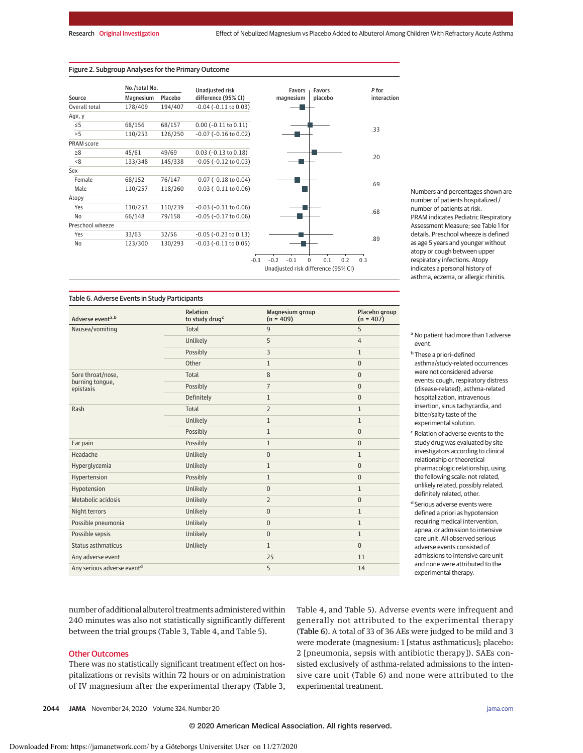### Figure 2. Subgroup Analyses for the Primary Outcome

|                                     | No./total No. |         | <b>Unadjusted risk</b>        |                  | Favors    | Favors             |     | P for |             |
|-------------------------------------|---------------|---------|-------------------------------|------------------|-----------|--------------------|-----|-------|-------------|
| Source                              | Magnesium     | Placebo | difference (95% CI)           |                  | magnesium | placebo            |     |       | interaction |
| Overall total                       | 178/409       | 194/407 | $-0.04$ ( $-0.11$ to $0.03$ ) |                  |           |                    |     |       |             |
| Age, y                              |               |         |                               |                  |           |                    |     |       |             |
| $\leq$ 5                            | 68/156        | 68/157  | $0.00$ (-0.11 to 0.11)        |                  |           |                    |     |       |             |
| >5                                  | 110/253       | 126/250 | $-0.07$ ( $-0.16$ to $0.02$ ) |                  |           |                    |     | .33   |             |
| <b>PRAM</b> score                   |               |         |                               |                  |           |                    |     |       |             |
| $\geq 8$                            | 45/61         | 49/69   | $0.03$ (-0.13 to 0.18)        |                  |           |                    |     |       |             |
| < 8                                 | 133/348       | 145/338 | $-0.05$ ( $-0.12$ to $0.03$ ) |                  |           |                    |     |       | .20         |
| Sex                                 |               |         |                               |                  |           |                    |     |       |             |
| Female                              | 68/152        | 76/147  | $-0.07$ ( $-0.18$ to $0.04$ ) |                  |           |                    |     |       |             |
| Male                                | 110/257       | 118/260 | $-0.03$ ( $-0.11$ to $0.06$ ) |                  |           |                    |     | .69   |             |
| Atopy                               |               |         |                               |                  |           |                    |     |       |             |
| Yes                                 | 110/253       | 110/239 | $-0.03$ ( $-0.11$ to $0.06$ ) |                  |           |                    |     |       |             |
| No                                  | 66/148        | 79/158  | $-0.05$ ( $-0.17$ to $0.06$ ) |                  |           |                    |     | .68   |             |
| Preschool wheeze                    |               |         |                               |                  |           |                    |     |       |             |
| Yes                                 | 33/63         | 32/56   | $-0.05$ ( $-0.23$ to $0.13$ ) |                  |           |                    |     |       |             |
| No                                  | 123/300       | 130/293 | $-0.03$ ( $-0.11$ to $0.05$ ) |                  |           |                    |     | .89   |             |
|                                     |               |         |                               | $-0.3$<br>$-0.2$ | $-0.1$    | 0.1<br>$\mathbf 0$ | 0.2 | 0.3   |             |
| Unadjusted risk difference (95% CI) |               |         |                               |                  |           |                    |     |       |             |

Numbers and percentages shown are number of patients hospitalized / number of patients at risk. PRAM indicates Pediatric Respiratory Assessment Measure; see Table 1 for details. Preschool wheeze is defined as age 5 years and younger without atopy or cough between upper respiratory infections. Atopy indicates a personal history of asthma, eczema, or allergic rhinitis.

Table 6. Adverse Events in Study Participants

| Adverse eventa,b                       | Relation<br>to study drug <sup>c</sup> | Magnesium group<br>$(n = 409)$ | Placebo group<br>$(n = 407)$ |
|----------------------------------------|----------------------------------------|--------------------------------|------------------------------|
| Nausea/vomiting                        | Total                                  | $\overline{9}$                 | 5                            |
|                                        | Unlikely                               | 5                              | $\overline{4}$               |
|                                        | Possibly                               | 3                              | $\mathbf{1}$                 |
|                                        | Other                                  | $\mathbf{1}$                   | $\Omega$                     |
| Sore throat/nose,                      | Total                                  | 8                              | $\Omega$                     |
| burning tongue,<br>epistaxis           | Possibly                               | $\overline{7}$                 | $\Omega$                     |
|                                        | Definitely                             | $\mathbf{1}$                   | $\mathbf{0}$                 |
| Rash                                   | Total                                  | $\overline{2}$                 | $\mathbf{1}$                 |
|                                        | Unlikely                               | $\mathbf{1}$                   | $\mathbf{1}$                 |
|                                        | Possibly                               | $\mathbf{1}$                   | $\Omega$                     |
| Ear pain                               | Possibly                               | $\mathbf{1}$                   | $\mathbf{0}$                 |
| Headache                               | Unlikely                               | $\mathbf{0}$                   | $\mathbf{1}$                 |
| Hyperglycemia                          | Unlikely                               | $\mathbf{1}$                   | $\mathbf{0}$                 |
| Hypertension                           | Possibly                               | $\mathbf{1}$                   | $\Omega$                     |
| Hypotension                            | Unlikely                               | $\mathbf{0}$                   | $\mathbf{1}$                 |
| Metabolic acidosis                     | Unlikely                               | $\overline{2}$                 | $\Omega$                     |
| Night terrors                          | Unlikely                               | $\mathbf{0}$                   | $\mathbf{1}$                 |
| Possible pneumonia                     | Unlikely                               | $\mathbf{0}$                   | $\mathbf{1}$                 |
| Possible sepsis                        | Unlikely                               | $\mathbf{0}$                   | $\mathbf{1}$                 |
| Status asthmaticus                     | Unlikely                               | $\mathbf{1}$                   | $\Omega$                     |
| Any adverse event                      |                                        | 25                             | 11                           |
| Any serious adverse event <sup>d</sup> |                                        | 5                              | 14                           |

<sup>a</sup> No patient had more than 1 adverse event.

<sup>b</sup> These a priori–defined asthma/study-related occurrences were not considered adverse events: cough, respiratory distress (disease-related), asthma-related hospitalization, intravenous insertion, sinus tachycardia, and bitter/salty taste of the experimental solution.

<sup>c</sup> Relation of adverse events to the study drug was evaluated by site investigators according to clinical relationship or theoretical pharmacologic relationship, using the following scale: not related, unlikely related, possibly related, definitely related, other.

d Serious adverse events were defined a priori as hypotension requiring medical intervention, apnea, or admission to intensive care unit. All observed serious adverse events consisted of admissions to intensive care unit and none were attributed to the experimental therapy.

number of additional albuterol treatments administered within 240 minutes was also not statistically significantly different between the trial groups (Table 3, Table 4, and Table 5).

## Other Outcomes

There was no statistically significant treatment effect on hospitalizations or revisits within 72 hours or on administration of IV magnesium after the experimental therapy (Table 3, Table 4, and Table 5). Adverse events were infrequent and generally not attributed to the experimental therapy (Table 6). A total of 33 of 36 AEs were judged to be mild and 3 were moderate (magnesium: 1 [status asthmaticus]; placebo: 2 [pneumonia, sepsis with antibiotic therapy]). SAEs consisted exclusively of asthma-related admissions to the intensive care unit (Table 6) and none were attributed to the experimental treatment.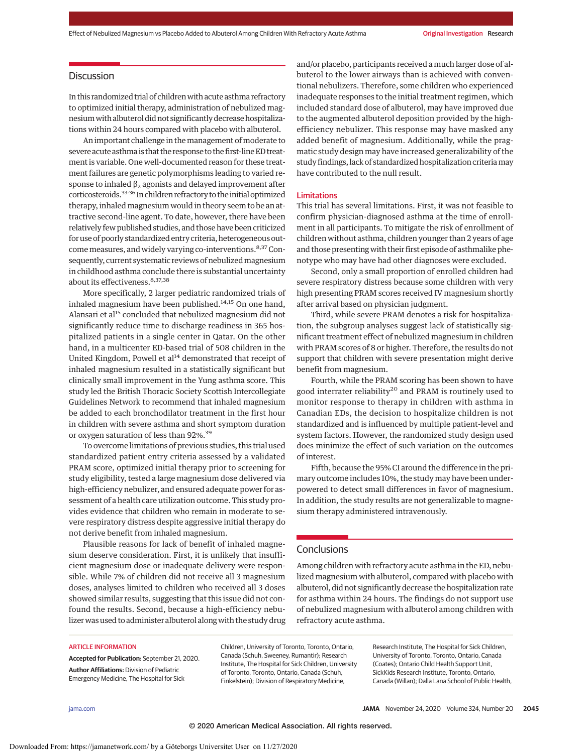# **Discussion**

In this randomized trial of children with acute asthma refractory to optimized initial therapy, administration of nebulized magnesiumwith albuterol did not significantly decrease hospitalizations within 24 hours compared with placebo with albuterol.

An important challenge in the management of moderate to severe acute asthma is that the response to the first-lineED treatment is variable. One well-documented reason for these treatment failures are genetic polymorphisms leading to varied response to inhaled  $\beta_2$  agonists and delayed improvement after corticosteroids.33-36 Inchildren refractory to the initial optimized therapy, inhaled magnesium would in theory seem to be an attractive second-line agent. To date, however, there have been relatively few published studies, and those have been criticized for use of poorly standardized entry criteria, heterogeneous outcome measures, and widely varying co-interventions.<sup>8,37</sup> Consequently, current systematic reviews of nebulized magnesium in childhood asthma conclude there is substantial uncertainty about its effectiveness. 8,37,38

More specifically, 2 larger pediatric randomized trials of inhaled magnesium have been published. $14,15$  On one hand, Alansari et al<sup>15</sup> concluded that nebulized magnesium did not significantly reduce time to discharge readiness in 365 hospitalized patients in a single center in Qatar. On the other hand, in a multicenter ED-based trial of 508 children in the United Kingdom, Powell et  $al<sup>14</sup>$  demonstrated that receipt of inhaled magnesium resulted in a statistically significant but clinically small improvement in the Yung asthma score. This study led the British Thoracic Society Scottish Intercollegiate Guidelines Network to recommend that inhaled magnesium be added to each bronchodilator treatment in the first hour in children with severe asthma and short symptom duration or oxygen saturation of less than 92%.<sup>39</sup>

To overcome limitations of previous studies, this trial used standardized patient entry criteria assessed by a validated PRAM score, optimized initial therapy prior to screening for study eligibility, tested a large magnesium dose delivered via high-efficiency nebulizer, and ensured adequate power for assessment of a health care utilization outcome. This study provides evidence that children who remain in moderate to severe respiratory distress despite aggressive initial therapy do not derive benefit from inhaled magnesium.

Plausible reasons for lack of benefit of inhaled magnesium deserve consideration. First, it is unlikely that insufficient magnesium dose or inadequate delivery were responsible. While 7% of children did not receive all 3 magnesium doses, analyses limited to children who received all 3 doses showed similar results, suggesting that this issue did not confound the results. Second, because a high-efficiency nebulizer was used to administer albuterol along with the study drug and/or placebo, participants received a much larger dose of albuterol to the lower airways than is achieved with conventional nebulizers. Therefore, some children who experienced inadequate responses to the initial treatment regimen, which included standard dose of albuterol, may have improved due to the augmented albuterol deposition provided by the highefficiency nebulizer. This response may have masked any added benefit of magnesium. Additionally, while the pragmatic study design may have increased generalizability of the study findings, lack of standardized hospitalization criteriamay have contributed to the null result.

#### Limitations

This trial has several limitations. First, it was not feasible to confirm physician-diagnosed asthma at the time of enrollment in all participants. To mitigate the risk of enrollment of children without asthma, children younger than 2 years of age and those presenting with their first episode of asthmalike phenotype who may have had other diagnoses were excluded.

Second, only a small proportion of enrolled children had severe respiratory distress because some children with very high presenting PRAM scores received IV magnesium shortly after arrival based on physician judgment.

Third, while severe PRAM denotes a risk for hospitalization, the subgroup analyses suggest lack of statistically significant treatment effect of nebulized magnesium in children with PRAM scores of 8 or higher. Therefore, the results do not support that children with severe presentation might derive benefit from magnesium.

Fourth, while the PRAM scoring has been shown to have good interrater reliability<sup>20</sup> and PRAM is routinely used to monitor response to therapy in children with asthma in Canadian EDs, the decision to hospitalize children is not standardized and is influenced by multiple patient-level and system factors. However, the randomized study design used does minimize the effect of such variation on the outcomes of interest.

Fifth, because the 95% CI around the difference in the primary outcome includes 10%, the study may have been underpowered to detect small differences in favor of magnesium. In addition, the study results are not generalizable to magnesium therapy administered intravenously.

# **Conclusions**

Among children with refractory acute asthma in the ED, nebulized magnesium with albuterol, compared with placebo with albuterol, did not significantly decrease the hospitalization rate for asthma within 24 hours. The findings do not support use of nebulized magnesium with albuterol among children with refractory acute asthma.

### ARTICLE INFORMATION

**Accepted for Publication:** September 21, 2020. **Author Affiliations:** Division of Pediatric Emergency Medicine, The Hospital for Sick

Children, University of Toronto, Toronto, Ontario, Canada (Schuh, Sweeney, Rumantir); Research Institute, The Hospital for Sick Children, University of Toronto, Toronto, Ontario, Canada (Schuh, Finkelstein); Division of Respiratory Medicine,

Research Institute, The Hospital for Sick Children, University of Toronto, Toronto, Ontario, Canada (Coates); Ontario Child Health Support Unit, SickKids Research Institute, Toronto, Ontario, Canada (Willan); Dalla Lana School of Public Health,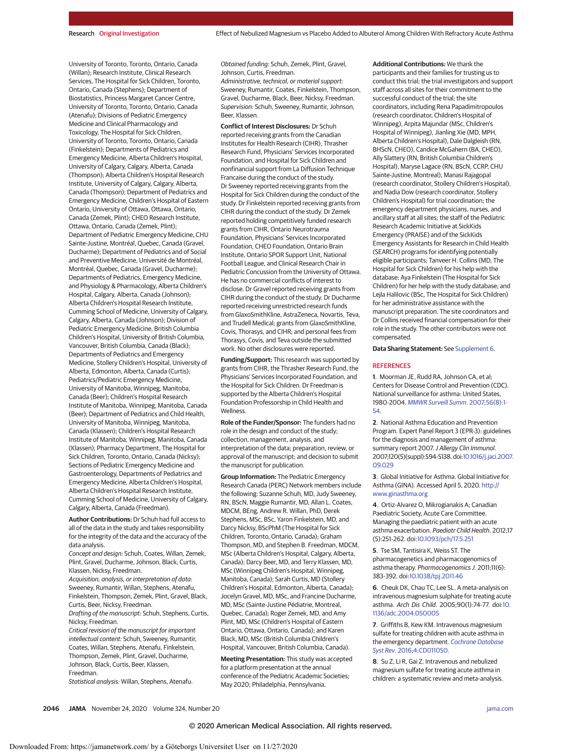University of Toronto, Toronto, Ontario, Canada (Willan); Research Institute, Clinical Research Services, The Hospital for Sick Children, Toronto, Ontario, Canada (Stephens); Department of Biostatistics, Princess Margaret Cancer Centre, University of Toronto, Toronto, Ontario, Canada (Atenafu); Divisions of Pediatric Emergency Medicine and Clinical Pharmacology and Toxicology, The Hospital for Sick Children, University of Toronto, Toronto, Ontario, Canada (Finkelstein); Departments of Pediatrics and Emergency Medicine, Alberta Children's Hospital, University of Calgary, Calgary, Alberta, Canada (Thompson); Alberta Children's Hospital Research Institute, University of Calgary, Calgary, Alberta, Canada (Thompson); Department of Pediatrics and Emergency Medicine, Children's Hospital of Eastern Ontario, University of Ottawa, Ottawa, Ontario, Canada (Zemek, Plint); CHEO Research Institute, Ottawa, Ontario, Canada (Zemek, Plint); Department of Pediatric Emergency Medicine, CHU Sainte-Justine, Montréal, Quebec, Canada (Gravel, Ducharme); Department of Pediatrics and of Social and Preventive Medicine, Université de Montréal, Montréal, Quebec, Canada (Gravel, Ducharme); Departments of Pediatrics, Emergency Medicine, and Physiology & Pharmacology, Alberta Children's Hospital, Calgary, Alberta, Canada (Johnson); Alberta Children's Hospital Research Institute, Cumming School of Medicine, University of Calgary, Calgary, Alberta, Canada (Johnson); Division of Pediatric Emergency Medicine, British Columbia Children's Hospital, University of British Columbia, Vancouver, British Columbia, Canada (Black); Departments of Pediatrics and Emergency Medicine, Stollery Children's Hospital, University of Alberta, Edmonton, Alberta, Canada (Curtis); Pediatrics/Pediatric Emergency Medicine, University of Manitoba, Winnipeg, Manitoba, Canada (Beer); Children's Hospital Research Institute of Manitoba, Winnipeg, Manitoba, Canada (Beer); Department of Pediatrics and Child Health, University of Manitoba, Winnipeg, Manitoba, Canada (Klassen); Children's Hospital Research Institute of Manitoba, Winnipeg, Manitoba, Canada (Klassen); Pharmacy Department, The Hospital for Sick Children, Toronto, Ontario, Canada (Nicksy); Sections of Pediatric Emergency Medicine and Gastroenterology, Departments of Pediatrics and Emergency Medicine, Alberta Children's Hospital, Alberta Children's Hospital Research Institute, Cumming School of Medicine, University of Calgary, Calgary, Alberta, Canada (Freedman).

**Author Contributions:** Dr Schuh had full access to all of the data in the study and takes responsibility for the integrity of the data and the accuracy of the data analysis.

Concept and design: Schuh, Coates, Willan, Zemek, Plint, Gravel, Ducharme, Johnson, Black, Curtis, Klassen, Nicksy, Freedman.

Acquisition, analysis, or interpretation of data: Sweeney, Rumantir, Willan, Stephens, Atenafu, Finkelstein, Thompson, Zemek, Plint, Gravel, Black, Curtis, Beer, Nicksy, Freedman.

Drafting of the manuscript: Schuh, Stephens, Curtis, Nicksy, Freedman.

Critical revision of the manuscript for important intellectual content: Schuh, Sweeney, Rumantir, Coates, Willan, Stephens, Atenafu, Finkelstein, Thompson, Zemek, Plint, Gravel, Ducharme, Johnson, Black, Curtis, Beer, Klassen, Freedman.

Statistical analysis: Willan, Stephens, Atenafu.

Obtained funding: Schuh, Zemek, Plint, Gravel, Johnson, Curtis, Freedman. Administrative, technical, or material support:

Sweeney, Rumantir, Coates, Finkelstein, Thompson, Gravel, Ducharme, Black, Beer, Nicksy, Freedman. Supervision: Schuh, Sweeney, Rumantir, Johnson, Beer, Klassen.

**Conflict of Interest Disclosures:** Dr Schuh reported receiving grants from the Canadian Institutes for Health Research (CIHR), Thrasher Research Fund, Physicians' Services Incorporated Foundation, and Hospital for Sick Children and nonfinancial support from La Diffusion Technique Francaise during the conduct of the study. Dr Sweeney reported receiving grants from the Hospital for Sick Children during the conduct of the study. Dr Finkelstein reported receiving grants from CIHR during the conduct of the study. Dr Zemek reported holding competitively funded research grants from CIHR, Ontario Neurotrauma Foundation, Physicians' Services Incorporated Foundation, CHEO Foundation, Ontario Brain Institute, Ontario SPOR Support Unit, National Football League, and Clinical Research Chair in Pediatric Concussion from the University of Ottawa. He has no commercial conflicts of interest to disclose. Dr Gravel reported receiving grants from CIHR during the conduct of the study. Dr Ducharme reported receiving unrestricted research funds from GlaxoSmithKline, AstraZeneca, Novartis, Teva, and Trudell Medical; grants from GlaxoSmithKline, Covis, Thorasys, and CIHR; and personal fees from Thorasys, Covis, and Teva outside the submitted work. No other disclosures were reported.

**Funding/Support:** This research was supported by grants from CIHR, the Thrasher Research Fund, the Physicians' Services Incorporated Foundation, and the Hospital for Sick Children. Dr Freedman is supported by the Alberta Children's Hospital Foundation Professorship in Child Health and **Wellness** 

**Role of the Funder/Sponsor:** The funders had no role in the design and conduct of the study; collection, management, analysis, and interpretation of the data; preparation, review, or approval of the manuscript; and decision to submit the manuscript for publication.

**Group Information:** The Pediatric Emergency Research Canada (PERC) Network members include the following: Suzanne Schuh, MD, Judy Sweeney, RN, BScN, Maggie Rumantir, MD, Allan L. Coates, MDCM, BEng, Andrew R. Willan, PhD, Derek Stephens, MSc, BSc, Yaron Finkelstein, MD, and Darcy Nicksy, BScPhM (The Hospital for Sick Children, Toronto, Ontario, Canada); Graham Thompson, MD, and Stephen B. Freedman, MDCM, MSc (Alberta Children's Hospital, Calgary, Alberta, Canada); Darcy Beer, MD, and Terry Klassen, MD, MSc (Winnipeg Children's Hospital, Winnipeg, Manitoba, Canada); Sarah Curtis, MD (Stollery Children's Hospital, Edmonton, Alberta, Canada); Jocelyn Gravel, MD, MSc, and Francine Ducharme, MD, MSc (Sainte-Justine Pédiatrie, Montreal, Quebec, Canada); Roger Zemek, MD, and Amy Plint, MD, MSc (Children's Hospital of Eastern Ontario, Ottawa, Ontario, Canada); and Karen Black, MD, MSc (British Columbia Children's Hospital, Vancouver, British Columbia, Canada).

**Meeting Presentation:** This study was accepted for a platform presentation at the annual conference of the Pediatric Academic Societies; May 2020; Philadelphia, Pennsylvania.

**Additional Contributions:** We thank the participants and their families for trusting us to conduct this trial; the trial investigators and support staff across all sites for their commitment to the successful conduct of the trial; the site coordinators, including Rena Papadimitropoulos (research coordinator, Children's Hospital of Winnipeg), Arpita Majundar (MSc, Children's Hospital of Winnipeg), Jianling Xie (MD, MPH, Alberta Children's Hospital), Dale Dalgleish (RN, BHScN, CHEO), Candice McGahern (BA, CHEO), Ally Slattery (RN, British Columbia Children's Hospital), Maryse Lagace (RN, BScN, CCRP, CHU Sainte-Justine, Montreal), Manasi Rajagopal (research coordinator, Stollery Children's Hospital), and Nadia Dow (research coordinator, Stollery Children's Hospital) for trial coordination; the emergency department physicians, nurses, and ancillary staff at all sites; the staff of the Pediatric Research Academic Initiative at SickKids Emergency (PRAISE) and of the SickKids Emergency Assistants for Research in Child Health (SEARCH) programs for identifying potentially eligible participants; Tanveer H. Collins (MD, The Hospital for Sick Children) for his help with the database; Aya Finkelstein (The Hospital for Sick Children) for her help with the study database; and Lejla Halilovic (BSc, The Hospital for Sick Children) for her administrative assistance with the manuscript preparation. The site coordinators and Dr Collins received financial compensation for their role in the study. The other contributors were not compensated.

**Data Sharing Statement:** See [Supplement 6.](https://jamanetwork.com/journals/jama/fullarticle/10.1001/jama.2020.19839?utm_campaign=articlePDF%26utm_medium=articlePDFlink%26utm_source=articlePDF%26utm_content=jama.2020.19839)

#### **REFERENCES**

**1**. Moorman JE, Rudd RA, Johnson CA, et al; Centers for Disease Control and Prevention (CDC). National surveillance for asthma: United States, 1980-2004. [MMWR Surveill Summ](https://www.ncbi.nlm.nih.gov/pubmed/17947969). 2007;56(8):1- [54.](https://www.ncbi.nlm.nih.gov/pubmed/17947969)

**2**. National Asthma Education and Prevention Program. Expert Panel Report 3 (EPR-3): guidelines for the diagnosis and management of asthma: summary report 2007. J Allergy Clin Immunol. 2007;120(5)(suppl):S94-S138. doi[:10.1016/j.jaci.2007.](https://dx.doi.org/10.1016/j.jaci.2007.09.029) [09.029](https://dx.doi.org/10.1016/j.jaci.2007.09.029)

**3**. Global Initiative for Asthma. Global Initiative for Asthma (GINA). Accessed April 5, 2020. [http://](http://www.ginasthma.org) [www.ginasthma.org](http://www.ginasthma.org)

**4**. Ortiz-Alvarez O, Mikrogianakis A; Canadian Paediatric Society, Acute Care Committee. Managing the paediatric patient with an acute asthma exacerbation. Paediatr Child Health. 2012;17 (5):251-262. doi[:10.1093/pch/17.5.251](https://dx.doi.org/10.1093/pch/17.5.251)

**5**. Tse SM, Tantisira K, Weiss ST. The pharmacogenetics and pharmacogenomics of asthma therapy. Pharmacogenomics J. 2011;11(6): 383-392. doi[:10.1038/tpj.2011.46](https://dx.doi.org/10.1038/tpj.2011.46)

**6**. Cheuk DK, Chau TC, Lee SL. A meta-analysis on intravenous magnesium sulphate for treating acute asthma. Arch Dis Child. 2005;90(1):74-77. doi[:10.](https://dx.doi.org/10.1136/adc.2004.050005) [1136/adc.2004.050005](https://dx.doi.org/10.1136/adc.2004.050005)

**7**. Griffiths B, Kew KM. Intravenous magnesium sulfate for treating children with acute asthma in the emergency department. [Cochrane Database](https://www.ncbi.nlm.nih.gov/pubmed/27126744) Syst Rev[. 2016;4:CD011050.](https://www.ncbi.nlm.nih.gov/pubmed/27126744)

**8**[. Su Z, Li R, Gai Z. Intravenous and nebulized](https://www.ncbi.nlm.nih.gov/pubmed/27126744) [magnesium sulfate for treating acute asthma in](https://www.ncbi.nlm.nih.gov/pubmed/27126744) [children: a systematic review and meta-analysis.](https://www.ncbi.nlm.nih.gov/pubmed/27126744)